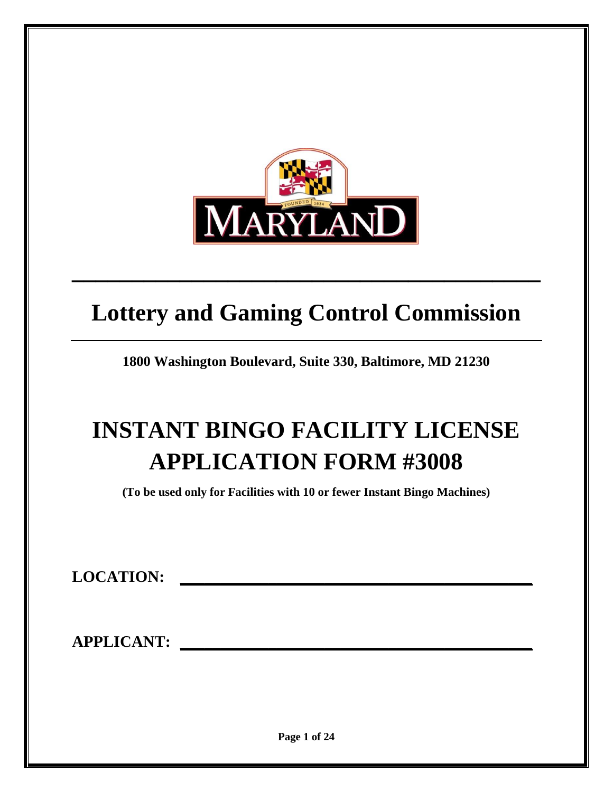

# **Lottery and Gaming Control Commission**

**\_\_\_\_\_\_\_\_\_\_\_\_\_\_\_\_\_\_\_\_\_\_\_\_\_\_\_\_\_\_\_\_\_\_\_\_\_\_\_**

**1800 Washington Boulevard, Suite 330, Baltimore, MD 21230**

# **INSTANT BINGO FACILITY LICENSE APPLICATION FORM #3008**

**(To be used only for Facilities with 10 or fewer Instant Bingo Machines)**

**LOCATION: \_\_\_\_\_\_\_\_\_\_\_\_\_\_\_\_\_\_\_\_\_\_\_\_\_\_\_\_\_\_\_\_\_\_\_\_\_\_\_\_\_\_\_\_**

**APPLICANT: \_\_\_\_\_\_\_\_\_\_\_\_\_\_\_\_\_\_\_\_\_\_\_\_\_\_\_\_\_\_\_\_\_\_\_\_\_\_\_\_\_\_\_\_**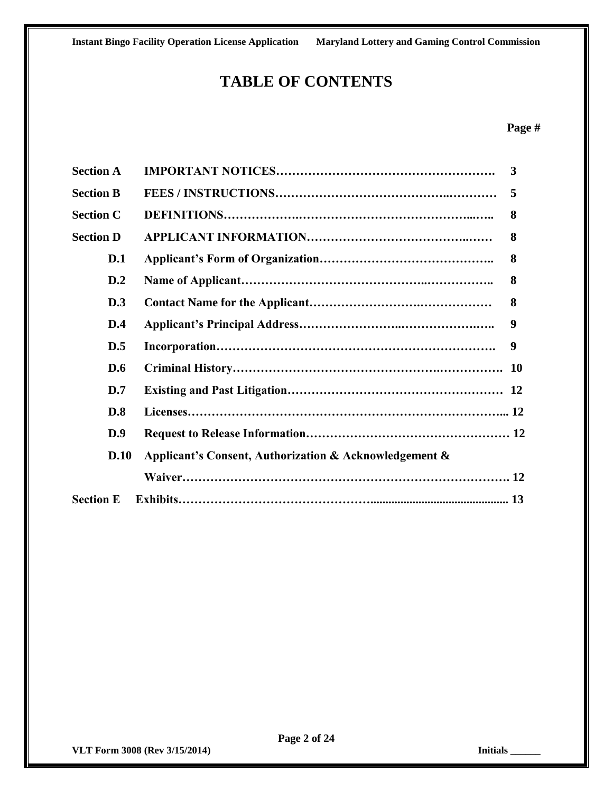## **TABLE OF CONTENTS**

#### **Page #**

| <b>Section A</b> |                                                        | 3         |
|------------------|--------------------------------------------------------|-----------|
| <b>Section B</b> |                                                        | 5         |
| <b>Section C</b> |                                                        | 8         |
| <b>Section D</b> |                                                        | 8         |
| D.1              |                                                        | 8         |
| D.2              |                                                        | 8         |
| D.3              |                                                        | 8         |
| D.4              |                                                        | 9         |
| D.5              |                                                        | 9         |
| D.6              |                                                        | <b>10</b> |
| D.7              |                                                        |           |
| D.8              |                                                        |           |
| D.9              |                                                        |           |
| D.10             | Applicant's Consent, Authorization & Acknowledgement & |           |
|                  |                                                        |           |
| <b>Section E</b> |                                                        |           |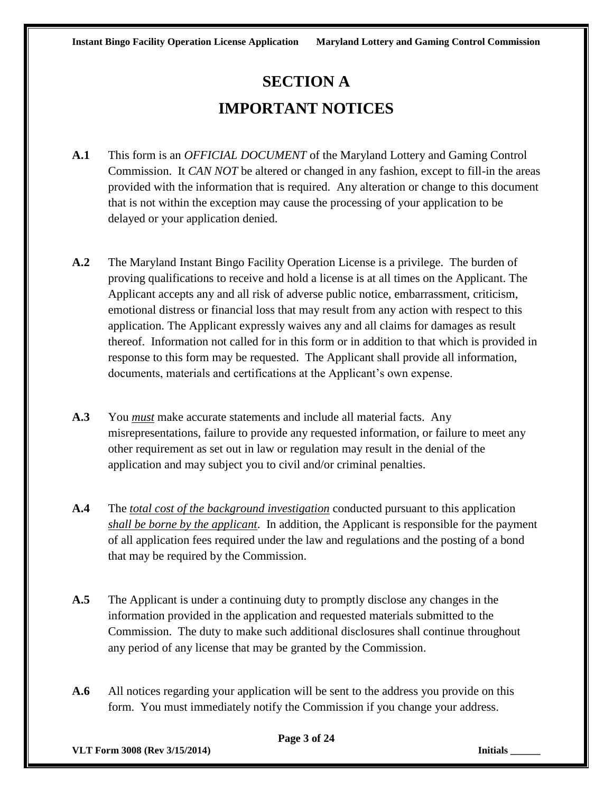## **SECTION A IMPORTANT NOTICES**

- **A.1** This form is an *OFFICIAL DOCUMENT* of the Maryland Lottery and Gaming Control Commission. It *CAN NOT* be altered or changed in any fashion, except to fill-in the areas provided with the information that is required. Any alteration or change to this document that is not within the exception may cause the processing of your application to be delayed or your application denied.
- **A.2** The Maryland Instant Bingo Facility Operation License is a privilege. The burden of proving qualifications to receive and hold a license is at all times on the Applicant. The Applicant accepts any and all risk of adverse public notice, embarrassment, criticism, emotional distress or financial loss that may result from any action with respect to this application. The Applicant expressly waives any and all claims for damages as result thereof. Information not called for in this form or in addition to that which is provided in response to this form may be requested. The Applicant shall provide all information, documents, materials and certifications at the Applicant's own expense.
- **A.3** You *must* make accurate statements and include all material facts. Any misrepresentations, failure to provide any requested information, or failure to meet any other requirement as set out in law or regulation may result in the denial of the application and may subject you to civil and/or criminal penalties.
- **A.4** The *total cost of the background investigation* conducted pursuant to this application *shall be borne by the applicant*. In addition, the Applicant is responsible for the payment of all application fees required under the law and regulations and the posting of a bond that may be required by the Commission.
- **A.5** The Applicant is under a continuing duty to promptly disclose any changes in the information provided in the application and requested materials submitted to the Commission. The duty to make such additional disclosures shall continue throughout any period of any license that may be granted by the Commission.
- **A.6** All notices regarding your application will be sent to the address you provide on this form. You must immediately notify the Commission if you change your address.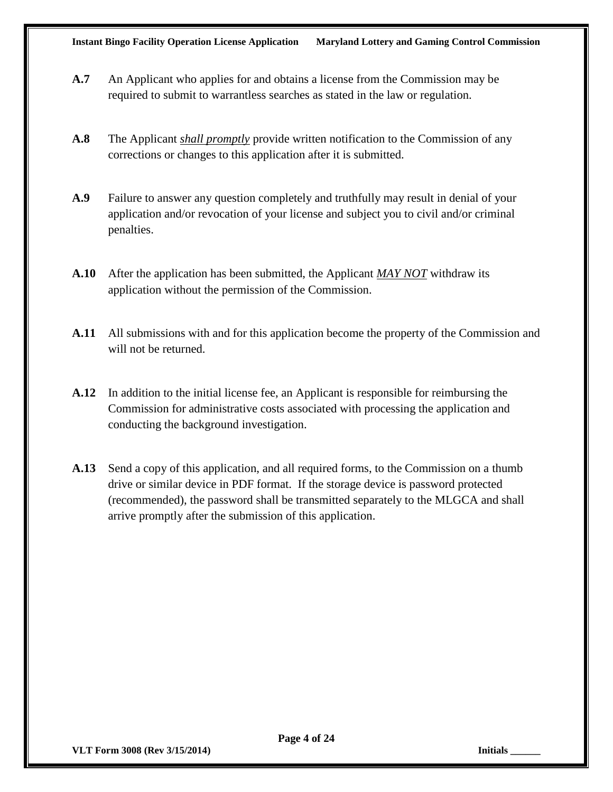- **A.7** An Applicant who applies for and obtains a license from the Commission may be required to submit to warrantless searches as stated in the law or regulation.
- **A.8** The Applicant *shall promptly* provide written notification to the Commission of any corrections or changes to this application after it is submitted.
- **A.9** Failure to answer any question completely and truthfully may result in denial of your application and/or revocation of your license and subject you to civil and/or criminal penalties.
- **A.10** After the application has been submitted, the Applicant *MAY NOT* withdraw its application without the permission of the Commission.
- **A.11** All submissions with and for this application become the property of the Commission and will not be returned.
- **A.12** In addition to the initial license fee, an Applicant is responsible for reimbursing the Commission for administrative costs associated with processing the application and conducting the background investigation.
- **A.13** Send a copy of this application, and all required forms, to the Commission on a thumb drive or similar device in PDF format. If the storage device is password protected (recommended), the password shall be transmitted separately to the MLGCA and shall arrive promptly after the submission of this application.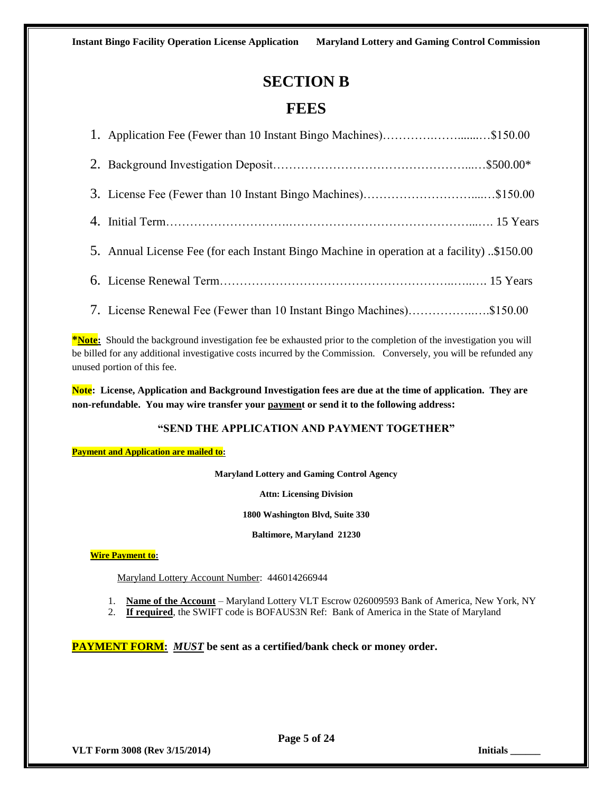#### **SECTION B**

#### **FEES**

| 1. Application Fee (Fewer than 10 Instant Bingo Machines)\$150.00                          |  |
|--------------------------------------------------------------------------------------------|--|
|                                                                                            |  |
|                                                                                            |  |
|                                                                                            |  |
| 5. Annual License Fee (for each Instant Bingo Machine in operation at a facility) \$150.00 |  |
|                                                                                            |  |
| 7. License Renewal Fee (Fewer than 10 Instant Bingo Machines)\$150.00                      |  |

**\*Note:** Should the background investigation fee be exhausted prior to the completion of the investigation you will be billed for any additional investigative costs incurred by the Commission. Conversely, you will be refunded any unused portion of this fee.

**Note: License, Application and Background Investigation fees are due at the time of application. They are non-refundable. You may wire transfer your payment or send it to the following address:**

#### **"SEND THE APPLICATION AND PAYMENT TOGETHER"**

**Payment and Application are mailed to:** 

**Maryland Lottery and Gaming Control Agency**

**Attn: Licensing Division**

**1800 Washington Blvd, Suite 330**

**Baltimore, Maryland 21230**

**Wire Payment to:**

Maryland Lottery Account Number: 446014266944

- 1. **Name of the Account** Maryland Lottery VLT Escrow 026009593 Bank of America, New York, NY
- 2. **If required**, the SWIFT code is BOFAUS3N Ref: Bank of America in the State of Maryland

**PAYMENT FORM:** *MUST* **be sent as a certified/bank check or money order.**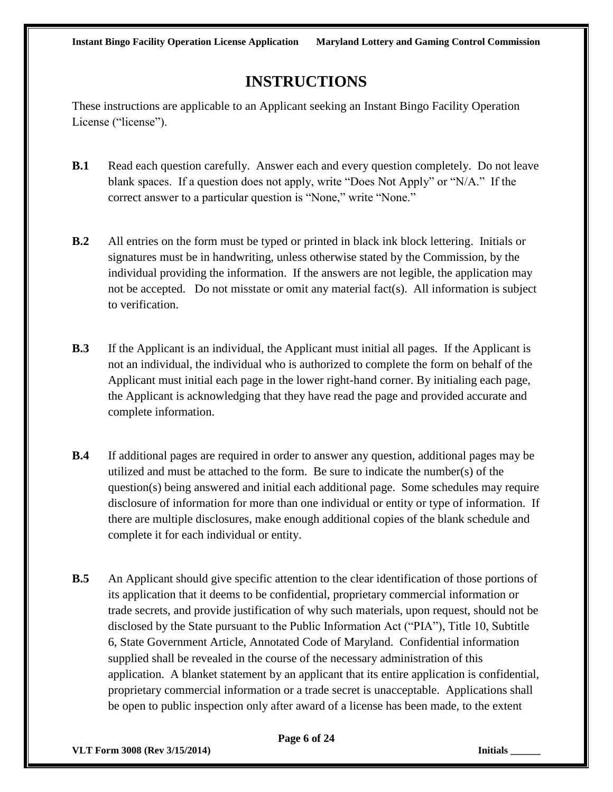### **INSTRUCTIONS**

These instructions are applicable to an Applicant seeking an Instant Bingo Facility Operation License ("license").

- **B.1** Read each question carefully. Answer each and every question completely. Do not leave blank spaces. If a question does not apply, write "Does Not Apply" or "N/A." If the correct answer to a particular question is "None," write "None."
- **B.2** All entries on the form must be typed or printed in black ink block lettering. Initials or signatures must be in handwriting, unless otherwise stated by the Commission, by the individual providing the information. If the answers are not legible, the application may not be accepted. Do not misstate or omit any material fact(s). All information is subject to verification.
- **B.3** If the Applicant is an individual, the Applicant must initial all pages. If the Applicant is not an individual, the individual who is authorized to complete the form on behalf of the Applicant must initial each page in the lower right-hand corner. By initialing each page, the Applicant is acknowledging that they have read the page and provided accurate and complete information.
- **B.4** If additional pages are required in order to answer any question, additional pages may be utilized and must be attached to the form. Be sure to indicate the number(s) of the question(s) being answered and initial each additional page. Some schedules may require disclosure of information for more than one individual or entity or type of information. If there are multiple disclosures, make enough additional copies of the blank schedule and complete it for each individual or entity.
- **B.5** An Applicant should give specific attention to the clear identification of those portions of its application that it deems to be confidential, proprietary commercial information or trade secrets, and provide justification of why such materials, upon request, should not be disclosed by the State pursuant to the Public Information Act ("PIA"), Title 10, Subtitle 6, State Government Article, Annotated Code of Maryland. Confidential information supplied shall be revealed in the course of the necessary administration of this application. A blanket statement by an applicant that its entire application is confidential, proprietary commercial information or a trade secret is unacceptable. Applications shall be open to public inspection only after award of a license has been made, to the extent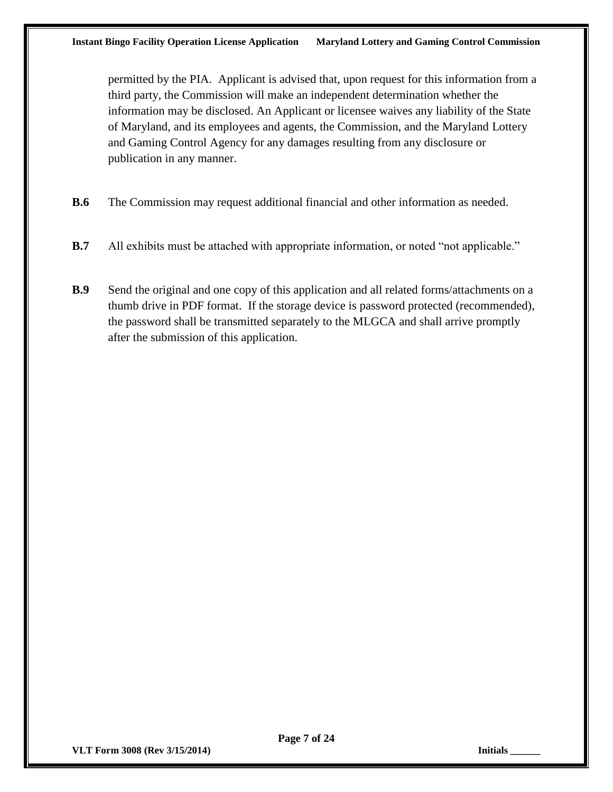permitted by the PIA. Applicant is advised that, upon request for this information from a third party, the Commission will make an independent determination whether the information may be disclosed. An Applicant or licensee waives any liability of the State of Maryland, and its employees and agents, the Commission, and the Maryland Lottery and Gaming Control Agency for any damages resulting from any disclosure or publication in any manner.

- **B.6** The Commission may request additional financial and other information as needed.
- **B.7** All exhibits must be attached with appropriate information, or noted "not applicable."
- **B.9** Send the original and one copy of this application and all related forms/attachments on a thumb drive in PDF format. If the storage device is password protected (recommended), the password shall be transmitted separately to the MLGCA and shall arrive promptly after the submission of this application.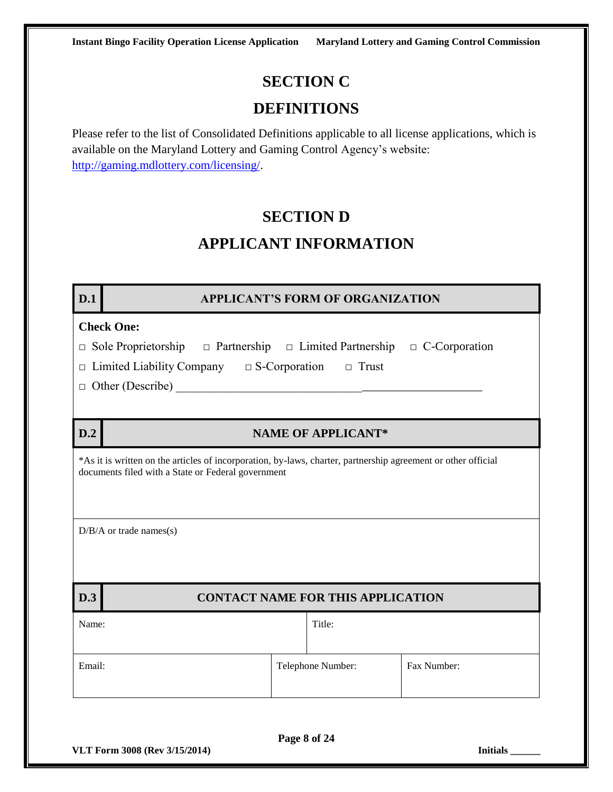## **SECTION C**

#### **DEFINITIONS**

Please refer to the list of Consolidated Definitions applicable to all license applications, which is available on the Maryland Lottery and Gaming Control Agency's website: [http://gaming.mdlottery.com/licensing/.](http://gaming.mdlottery.com/licensing/)

#### **SECTION D**

### **APPLICANT INFORMATION**

#### **D.1 APPLICANT'S FORM OF ORGANIZATION**

#### **Check One:**

| $\Box$ Sole Proprietorship |  | $\Box$ Partnership $\Box$ Limited Partnership $\Box$ C-Corporation |  |
|----------------------------|--|--------------------------------------------------------------------|--|
|----------------------------|--|--------------------------------------------------------------------|--|

- □ Limited Liability Company □ S-Corporation □ Trust
- $\Box$  Other (Describe)

#### **D.2 NAME OF APPLICANT\***

\*As it is written on the articles of incorporation, by-laws, charter, partnership agreement or other official documents filed with a State or Federal government

 $D/B/A$  or trade names(s)

#### **D.3 CONTACT NAME FOR THIS APPLICATION**

| Name:  | Title:            |             |
|--------|-------------------|-------------|
| Email: | Telephone Number: | Fax Number: |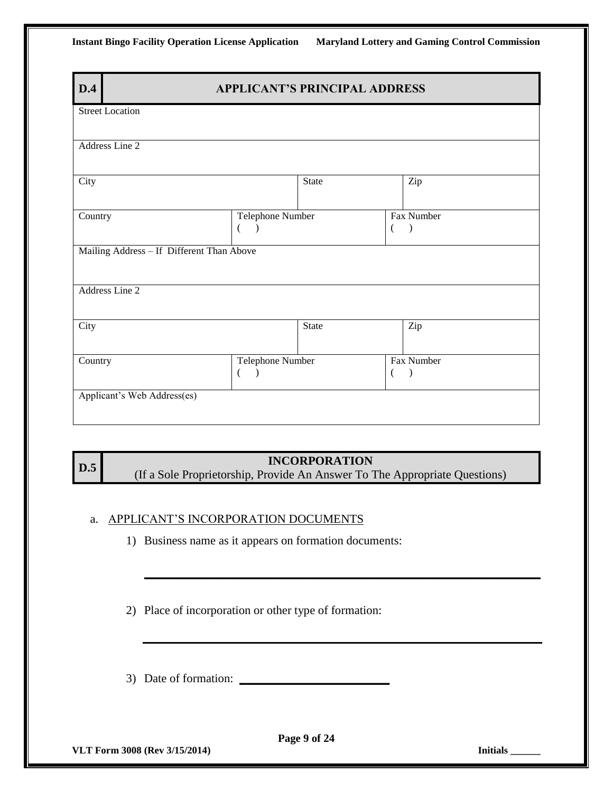| D.4                         | <b>APPLICANT'S PRINCIPAL ADDRESS</b>      |              |   |               |  |  |  |  |
|-----------------------------|-------------------------------------------|--------------|---|---------------|--|--|--|--|
| <b>Street Location</b>      |                                           |              |   |               |  |  |  |  |
| Address Line 2              |                                           |              |   |               |  |  |  |  |
|                             |                                           |              |   |               |  |  |  |  |
| City                        |                                           | <b>State</b> |   | Zip           |  |  |  |  |
| Country                     | Telephone Number                          |              |   | Fax Number    |  |  |  |  |
|                             | €<br>$\lambda$                            |              | € | $\mathcal{E}$ |  |  |  |  |
|                             | Mailing Address - If Different Than Above |              |   |               |  |  |  |  |
|                             |                                           |              |   |               |  |  |  |  |
| Address Line 2              |                                           |              |   |               |  |  |  |  |
| City                        |                                           | <b>State</b> |   | Zip           |  |  |  |  |
|                             |                                           |              |   |               |  |  |  |  |
| Country                     | Telephone Number<br>€                     |              |   | Fax Number    |  |  |  |  |
| Applicant's Web Address(es) |                                           |              |   |               |  |  |  |  |
|                             |                                           |              |   |               |  |  |  |  |

**D.5 INCORPORATION**<br>
(If a Sole Proprietorship, Provide An Answer To The Appropriate Questions)

**\_\_\_\_\_\_\_\_\_\_\_\_\_\_\_\_\_\_\_\_\_\_\_\_\_\_\_\_\_\_\_\_\_\_\_\_\_\_\_\_\_\_\_\_\_\_\_\_\_\_\_\_\_\_\_\_\_\_\_\_\_\_\_\_\_\_**

#### a. APPLICANT'S INCORPORATION DOCUMENTS

1) Business name as it appears on formation documents:

2) Place of incorporation or other type of formation:

3) Date of formation: **\_\_\_\_\_\_\_\_\_\_\_\_\_\_\_\_\_\_\_\_\_\_\_\_\_**

**VLT Form 3008 (Rev 3/15/2014) Initials \_\_\_\_\_\_**

**Page 9 of 24**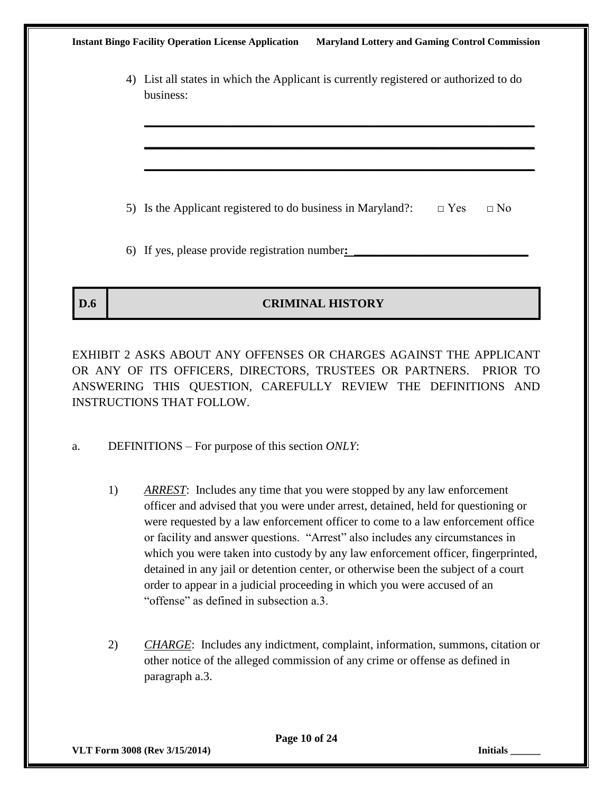| <b>Instant Bingo Facility Operation License Application</b>                                        | <b>Maryland Lottery and Gaming Control Commission</b> |           |  |
|----------------------------------------------------------------------------------------------------|-------------------------------------------------------|-----------|--|
| 4) List all states in which the Applicant is currently registered or authorized to do<br>business: |                                                       |           |  |
|                                                                                                    |                                                       |           |  |
| 5) Is the Applicant registered to do business in Maryland?:                                        | $\Box$ Yes                                            | $\Box$ No |  |
| 6) If yes, please provide registration number:                                                     |                                                       |           |  |

#### **D.6 CRIMINAL HISTORY**

EXHIBIT 2 ASKS ABOUT ANY OFFENSES OR CHARGES AGAINST THE APPLICANT OR ANY OF ITS OFFICERS, DIRECTORS, TRUSTEES OR PARTNERS. PRIOR TO ANSWERING THIS QUESTION, CAREFULLY REVIEW THE DEFINITIONS AND INSTRUCTIONS THAT FOLLOW.

- a. DEFINITIONS For purpose of this section *ONLY*:
	- 1) *ARREST*: Includes any time that you were stopped by any law enforcement officer and advised that you were under arrest, detained, held for questioning or were requested by a law enforcement officer to come to a law enforcement office or facility and answer questions. "Arrest" also includes any circumstances in which you were taken into custody by any law enforcement officer, fingerprinted, detained in any jail or detention center, or otherwise been the subject of a court order to appear in a judicial proceeding in which you were accused of an "offense" as defined in subsection a.3.
	- 2) *CHARGE*: Includes any indictment, complaint, information, summons, citation or other notice of the alleged commission of any crime or offense as defined in paragraph a.3.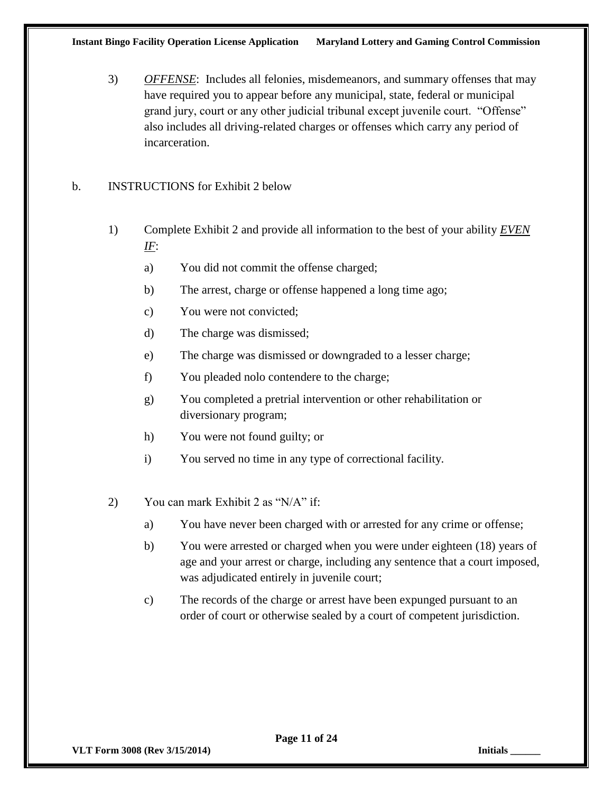3) *OFFENSE*: Includes all felonies, misdemeanors, and summary offenses that may have required you to appear before any municipal, state, federal or municipal grand jury, court or any other judicial tribunal except juvenile court. "Offense" also includes all driving-related charges or offenses which carry any period of incarceration.

#### b. INSTRUCTIONS for Exhibit 2 below

- 1) Complete Exhibit 2 and provide all information to the best of your ability *EVEN IF*:
	- a) You did not commit the offense charged;
	- b) The arrest, charge or offense happened a long time ago;
	- c) You were not convicted;
	- d) The charge was dismissed;
	- e) The charge was dismissed or downgraded to a lesser charge;
	- f) You pleaded nolo contendere to the charge;
	- g) You completed a pretrial intervention or other rehabilitation or diversionary program;
	- h) You were not found guilty; or
	- i) You served no time in any type of correctional facility.
- 2) You can mark Exhibit 2 as "N/A" if:
	- a) You have never been charged with or arrested for any crime or offense;
	- b) You were arrested or charged when you were under eighteen (18) years of age and your arrest or charge, including any sentence that a court imposed, was adjudicated entirely in juvenile court;
	- c) The records of the charge or arrest have been expunged pursuant to an order of court or otherwise sealed by a court of competent jurisdiction.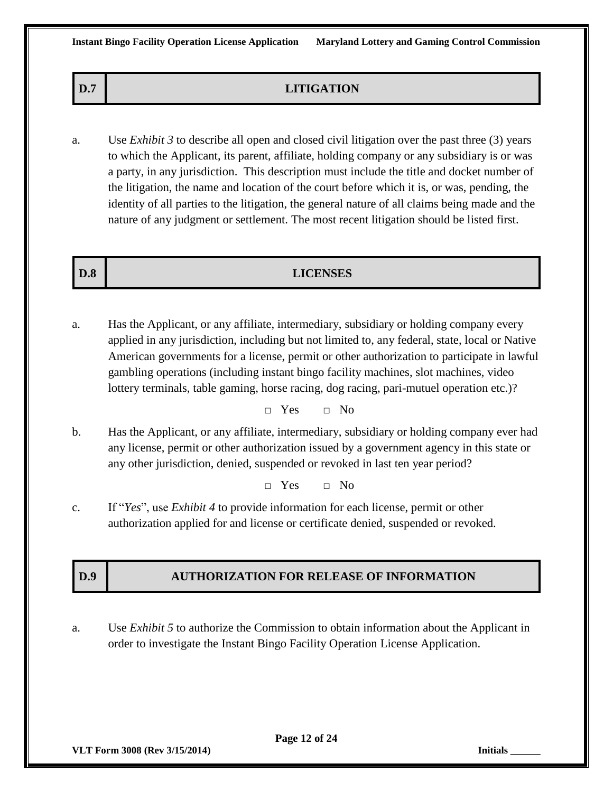| D.7<br><b>LITIGATION</b> |  |
|--------------------------|--|
|--------------------------|--|

a. Use *Exhibit 3* to describe all open and closed civil litigation over the past three (3) years to which the Applicant, its parent, affiliate, holding company or any subsidiary is or was a party, in any jurisdiction. This description must include the title and docket number of the litigation, the name and location of the court before which it is, or was, pending, the identity of all parties to the litigation, the general nature of all claims being made and the nature of any judgment or settlement. The most recent litigation should be listed first.

#### **D.8 LICENSES**

a. Has the Applicant, or any affiliate, intermediary, subsidiary or holding company every applied in any jurisdiction, including but not limited to, any federal, state, local or Native American governments for a license, permit or other authorization to participate in lawful gambling operations (including instant bingo facility machines, slot machines, video lottery terminals, table gaming, horse racing, dog racing, pari-mutuel operation etc.)?

□ Yes □ No

b. Has the Applicant, or any affiliate, intermediary, subsidiary or holding company ever had any license, permit or other authorization issued by a government agency in this state or any other jurisdiction, denied, suspended or revoked in last ten year period?

 $\Box$  Yes  $\Box$  No

c. If "*Yes*", use *Exhibit 4* to provide information for each license, permit or other authorization applied for and license or certificate denied, suspended or revoked.

#### **D.9 AUTHORIZATION FOR RELEASE OF INFORMATION**

a. Use *Exhibit 5* to authorize the Commission to obtain information about the Applicant in order to investigate the Instant Bingo Facility Operation License Application.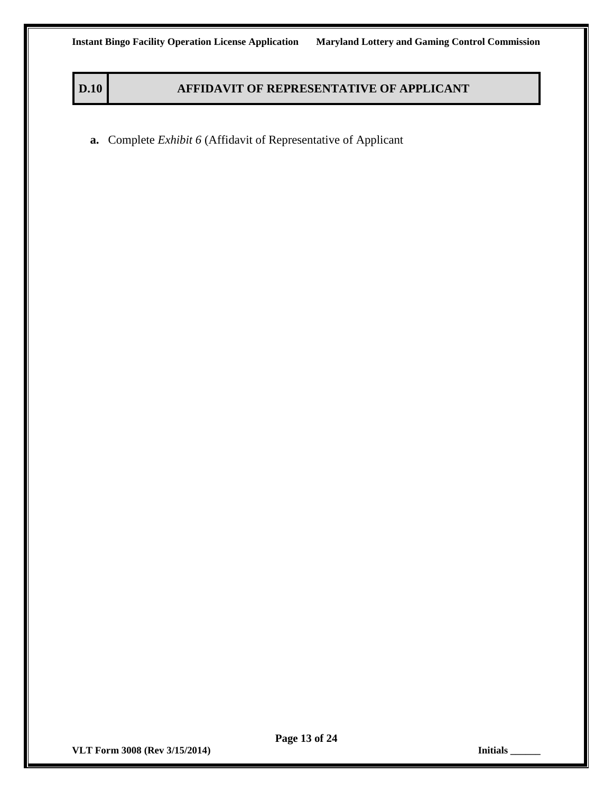#### **D.10 AFFIDAVIT OF REPRESENTATIVE OF APPLICANT**

**a.** Complete *Exhibit 6* (Affidavit of Representative of Applicant

**VLT Form 3008 (Rev 3/15/2014) Initials \_\_\_\_\_\_**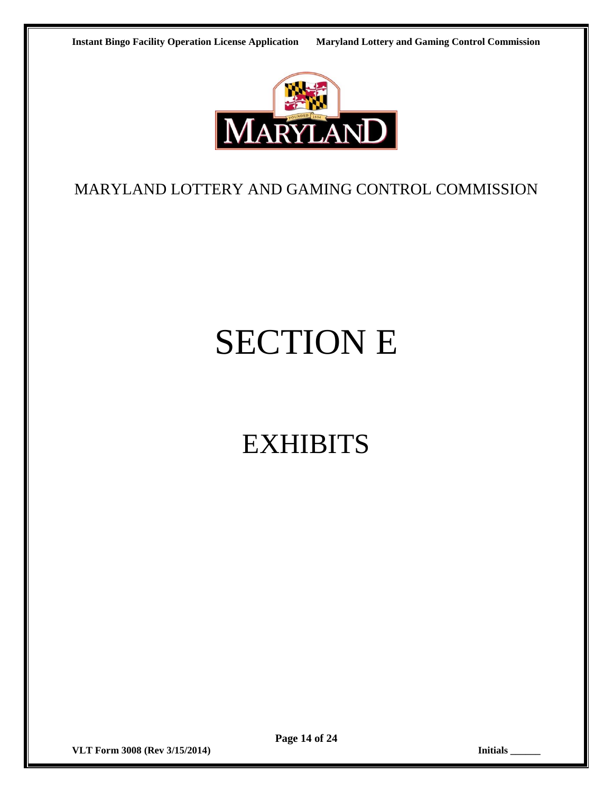

#### MARYLAND LOTTERY AND GAMING CONTROL COMMISSION

# SECTION E

# EXHIBITS

**VLT Form 3008 (Rev 3/15/2014) Initials \_\_\_\_\_\_**

**Page 14 of 24**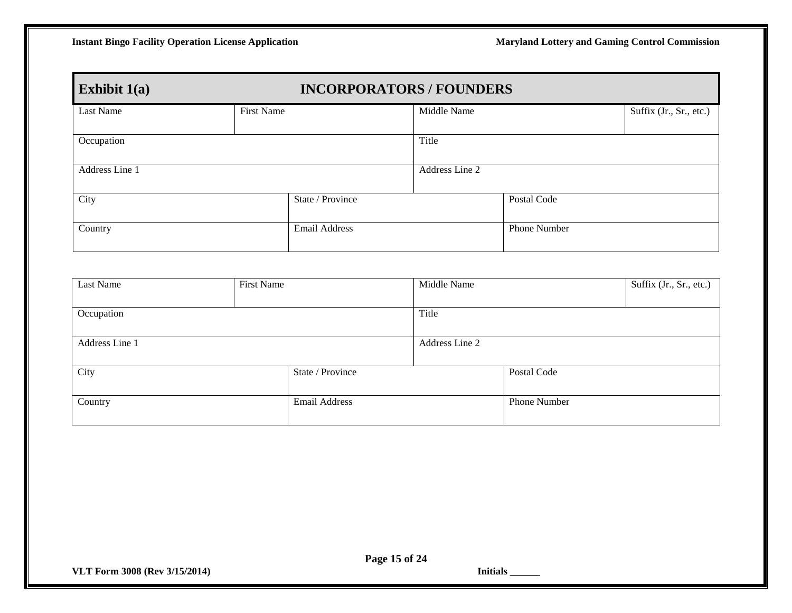| <b>INCORPORATORS / FOUNDERS</b><br>Exhibit $1(a)$ |                   |                  |                |                     |                         |  |
|---------------------------------------------------|-------------------|------------------|----------------|---------------------|-------------------------|--|
| Last Name                                         | <b>First Name</b> |                  | Middle Name    |                     | Suffix (Jr., Sr., etc.) |  |
| Occupation                                        |                   |                  | Title          |                     |                         |  |
| Address Line 1                                    |                   |                  | Address Line 2 |                     |                         |  |
| City                                              |                   | State / Province |                | Postal Code         |                         |  |
| Country                                           |                   | Email Address    |                | <b>Phone Number</b> |                         |  |

| Last Name      | First Name |                  | Middle Name    |              | Suffix (Jr., Sr., etc.) |
|----------------|------------|------------------|----------------|--------------|-------------------------|
|                |            |                  |                |              |                         |
| Occupation     |            | Title            |                |              |                         |
|                |            |                  |                |              |                         |
| Address Line 1 |            |                  | Address Line 2 |              |                         |
|                |            |                  |                |              |                         |
| City           |            | State / Province |                | Postal Code  |                         |
|                |            |                  |                |              |                         |
| Country        |            | Email Address    |                | Phone Number |                         |
|                |            |                  |                |              |                         |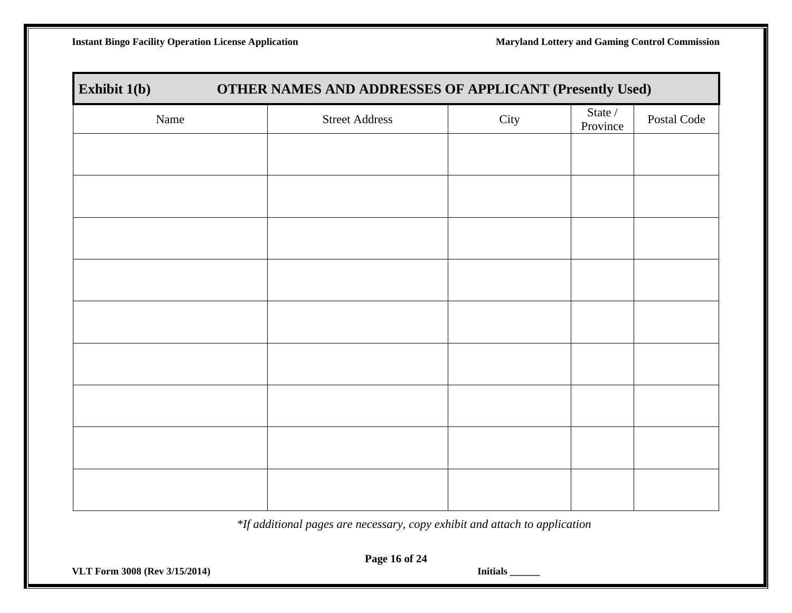**Instant Bingo Facility Operation License Application Maryland Lottery and Gaming Control Commission** 

| Exhibit 1(b)<br>OTHER NAMES AND ADDRESSES OF APPLICANT (Presently Used) |                       |      |                     |             |  |
|-------------------------------------------------------------------------|-----------------------|------|---------------------|-------------|--|
| Name                                                                    | <b>Street Address</b> | City | State /<br>Province | Postal Code |  |
|                                                                         |                       |      |                     |             |  |
|                                                                         |                       |      |                     |             |  |
|                                                                         |                       |      |                     |             |  |
|                                                                         |                       |      |                     |             |  |
|                                                                         |                       |      |                     |             |  |
|                                                                         |                       |      |                     |             |  |
|                                                                         |                       |      |                     |             |  |
|                                                                         |                       |      |                     |             |  |
|                                                                         |                       |      |                     |             |  |
|                                                                         |                       |      |                     |             |  |
|                                                                         |                       |      |                     |             |  |

*\*If additional pages are necessary, copy exhibit and attach to application*

**VLT Form 3008 (Rev 3/15/2014) Initials \_\_\_\_\_\_**

**Page 16 of 24**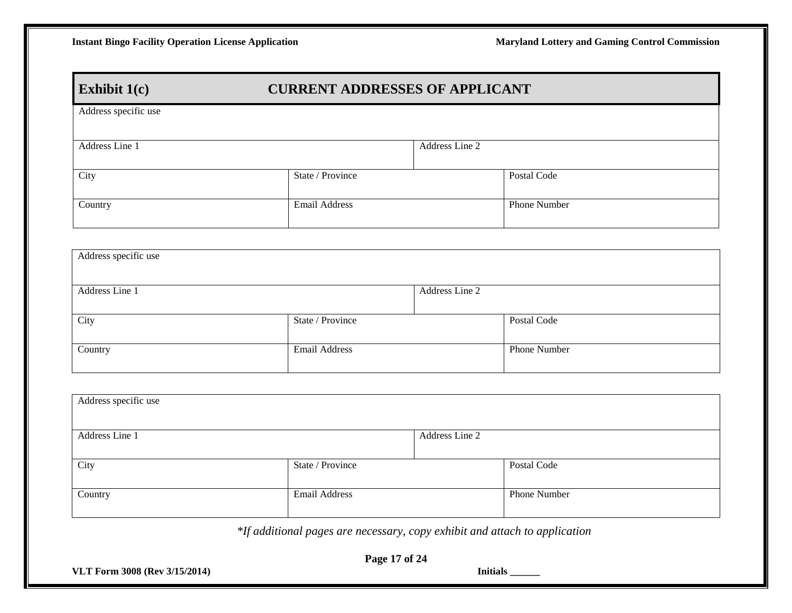#### **Exhibit 1(c) CURRENT ADDRESSES OF APPLICANT**

| Address specific use |                      |                |              |
|----------------------|----------------------|----------------|--------------|
| Address Line 1       |                      | Address Line 2 |              |
| City                 | State / Province     |                | Postal Code  |
| Country              | <b>Email Address</b> |                | Phone Number |
|                      |                      |                |              |

| Address specific use |                  |              |
|----------------------|------------------|--------------|
| Address Line 1       | Address Line 2   |              |
| City                 | State / Province | Postal Code  |
| Country              | Email Address    | Phone Number |

| Address specific use |                  |                |              |
|----------------------|------------------|----------------|--------------|
| Address Line 1       |                  | Address Line 2 |              |
| City                 | State / Province |                | Postal Code  |
| Country              | Email Address    |                | Phone Number |

*\*If additional pages are necessary, copy exhibit and attach to application*

**VLT Form 3008 (Rev 3/15/2014) Initials \_\_\_\_\_\_**

**Page 17 of 24**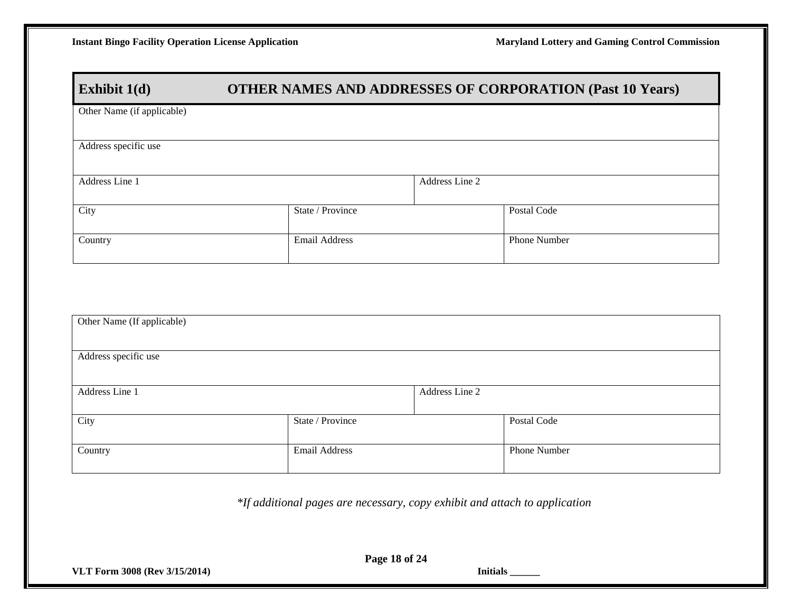#### **Exhibit 1(d) OTHER NAMES AND ADDRESSES OF CORPORATION (Past 10 Years)**

| Other Name (if applicable) |                      |                |              |
|----------------------------|----------------------|----------------|--------------|
| Address specific use       |                      |                |              |
| Address Line 1             |                      | Address Line 2 |              |
| City                       | State / Province     |                | Postal Code  |
| Country                    | <b>Email Address</b> |                | Phone Number |

| Other Name (If applicable) |                      |                |              |
|----------------------------|----------------------|----------------|--------------|
| Address specific use       |                      |                |              |
| Address Line 1             |                      | Address Line 2 |              |
| City                       | State / Province     |                | Postal Code  |
| Country                    | <b>Email Address</b> |                | Phone Number |

*\*If additional pages are necessary, copy exhibit and attach to application*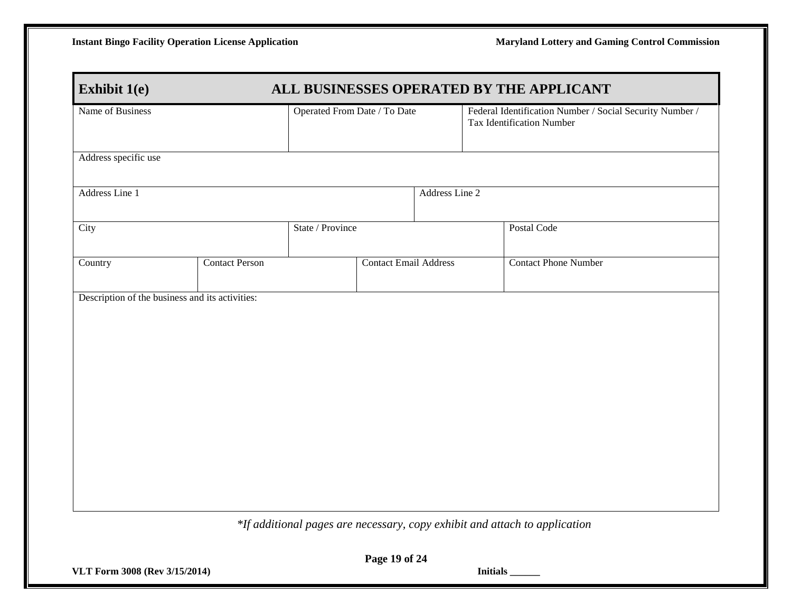| Name of Business     |                       | Operated From Date / To Date |                              | Federal Identification Number / Social Security Number /<br><b>Tax Identification Number</b> |
|----------------------|-----------------------|------------------------------|------------------------------|----------------------------------------------------------------------------------------------|
| Address specific use |                       |                              |                              |                                                                                              |
| Address Line 1       |                       |                              | Address Line 2               |                                                                                              |
| City                 |                       | State / Province             |                              | Postal Code                                                                                  |
| Country              | <b>Contact Person</b> |                              | <b>Contact Email Address</b> | <b>Contact Phone Number</b>                                                                  |
|                      |                       |                              |                              |                                                                                              |

**VLT Form 3008 (Rev 3/15/2014) Initials \_\_\_\_\_\_**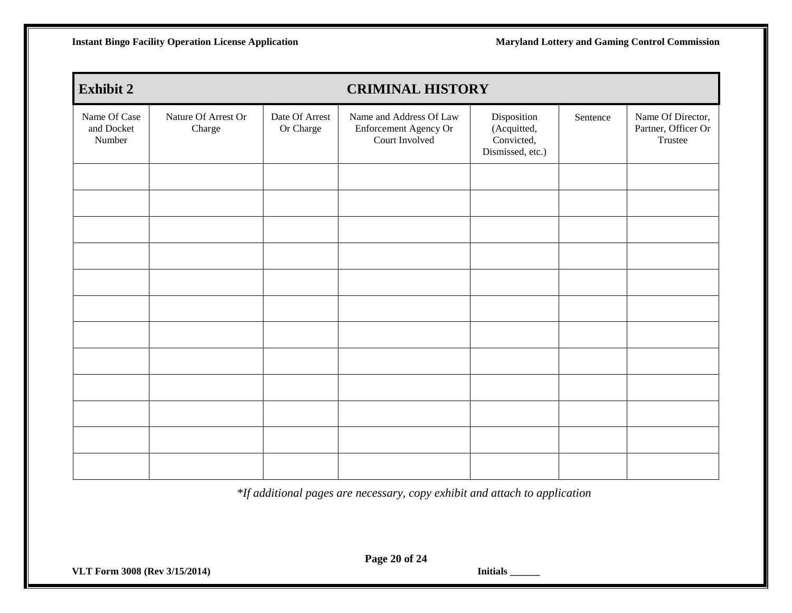**Instant Bingo Facility Operation License Application Maryland Lottery and Gaming Control Commission** 

| <b>Exhibit 2</b>                     |                               |                             | <b>CRIMINAL HISTORY</b>                                            |                                                              |          |                                                     |
|--------------------------------------|-------------------------------|-----------------------------|--------------------------------------------------------------------|--------------------------------------------------------------|----------|-----------------------------------------------------|
| Name Of Case<br>and Docket<br>Number | Nature Of Arrest Or<br>Charge | Date Of Arrest<br>Or Charge | Name and Address Of Law<br>Enforcement Agency Or<br>Court Involved | Disposition<br>(Acquitted,<br>Convicted,<br>Dismissed, etc.) | Sentence | Name Of Director,<br>Partner, Officer Or<br>Trustee |
|                                      |                               |                             |                                                                    |                                                              |          |                                                     |
|                                      |                               |                             |                                                                    |                                                              |          |                                                     |
|                                      |                               |                             |                                                                    |                                                              |          |                                                     |
|                                      |                               |                             |                                                                    |                                                              |          |                                                     |
|                                      |                               |                             |                                                                    |                                                              |          |                                                     |
|                                      |                               |                             |                                                                    |                                                              |          |                                                     |
|                                      |                               |                             |                                                                    |                                                              |          |                                                     |
|                                      |                               |                             |                                                                    |                                                              |          |                                                     |
|                                      |                               |                             |                                                                    |                                                              |          |                                                     |
|                                      |                               |                             |                                                                    |                                                              |          |                                                     |
|                                      |                               |                             |                                                                    |                                                              |          |                                                     |
|                                      |                               |                             |                                                                    |                                                              |          |                                                     |

*\*If additional pages are necessary, copy exhibit and attach to application*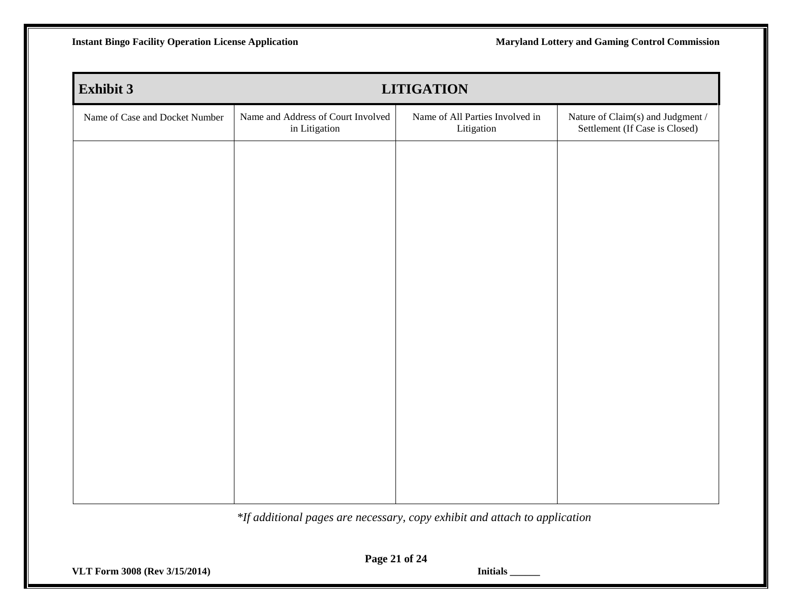| <b>Exhibit 3</b>               |                                                     | <b>LITIGATION</b>                             |                                                                     |
|--------------------------------|-----------------------------------------------------|-----------------------------------------------|---------------------------------------------------------------------|
| Name of Case and Docket Number | Name and Address of Court Involved<br>in Litigation | Name of All Parties Involved in<br>Litigation | Nature of Claim(s) and Judgment /<br>Settlement (If Case is Closed) |
|                                |                                                     |                                               |                                                                     |
|                                |                                                     |                                               |                                                                     |
|                                |                                                     |                                               |                                                                     |
|                                |                                                     |                                               |                                                                     |
|                                |                                                     |                                               |                                                                     |
|                                |                                                     |                                               |                                                                     |
|                                |                                                     |                                               |                                                                     |
|                                |                                                     |                                               |                                                                     |
|                                |                                                     |                                               |                                                                     |
|                                |                                                     |                                               |                                                                     |
|                                |                                                     |                                               |                                                                     |

*\*If additional pages are necessary, copy exhibit and attach to application*

**VLT Form 3008 (Rev 3/15/2014) Initials \_\_\_\_\_\_**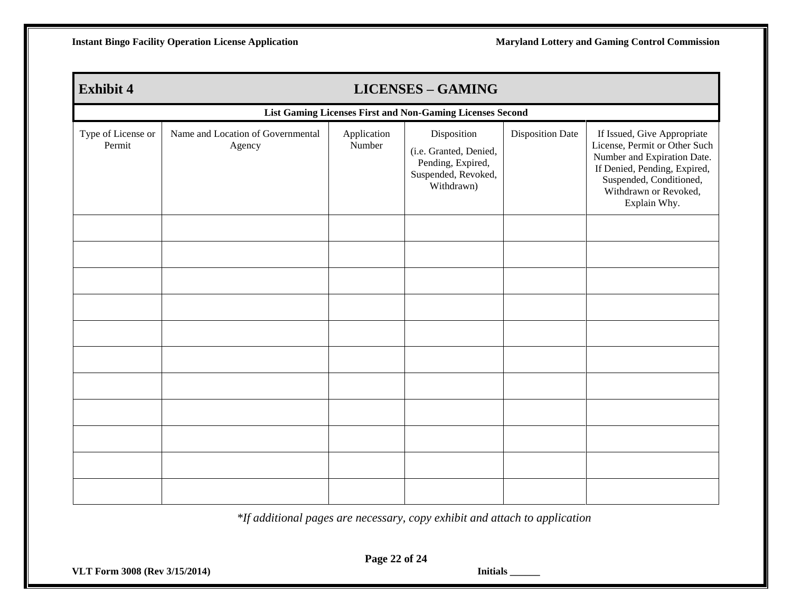| <b>Exhibit 4</b>                                          |                                             |                       | <b>LICENSES - GAMING</b>                                                                        |                         |                                                                                                                                                                                                 |
|-----------------------------------------------------------|---------------------------------------------|-----------------------|-------------------------------------------------------------------------------------------------|-------------------------|-------------------------------------------------------------------------------------------------------------------------------------------------------------------------------------------------|
| List Gaming Licenses First and Non-Gaming Licenses Second |                                             |                       |                                                                                                 |                         |                                                                                                                                                                                                 |
| Type of License or<br>Permit                              | Name and Location of Governmental<br>Agency | Application<br>Number | Disposition<br>(i.e. Granted, Denied,<br>Pending, Expired,<br>Suspended, Revoked,<br>Withdrawn) | <b>Disposition Date</b> | If Issued, Give Appropriate<br>License, Permit or Other Such<br>Number and Expiration Date.<br>If Denied, Pending, Expired,<br>Suspended, Conditioned,<br>Withdrawn or Revoked,<br>Explain Why. |
|                                                           |                                             |                       |                                                                                                 |                         |                                                                                                                                                                                                 |
|                                                           |                                             |                       |                                                                                                 |                         |                                                                                                                                                                                                 |
|                                                           |                                             |                       |                                                                                                 |                         |                                                                                                                                                                                                 |
|                                                           |                                             |                       |                                                                                                 |                         |                                                                                                                                                                                                 |
|                                                           |                                             |                       |                                                                                                 |                         |                                                                                                                                                                                                 |
|                                                           |                                             |                       |                                                                                                 |                         |                                                                                                                                                                                                 |
|                                                           |                                             |                       |                                                                                                 |                         |                                                                                                                                                                                                 |
|                                                           |                                             |                       |                                                                                                 |                         |                                                                                                                                                                                                 |
|                                                           |                                             |                       |                                                                                                 |                         |                                                                                                                                                                                                 |
|                                                           |                                             |                       |                                                                                                 |                         |                                                                                                                                                                                                 |
|                                                           |                                             |                       |                                                                                                 |                         |                                                                                                                                                                                                 |

*\*If additional pages are necessary, copy exhibit and attach to application*

**VLT Form 3008 (Rev 3/15/2014) Initials \_\_\_\_\_\_**

**Page 22 of 24**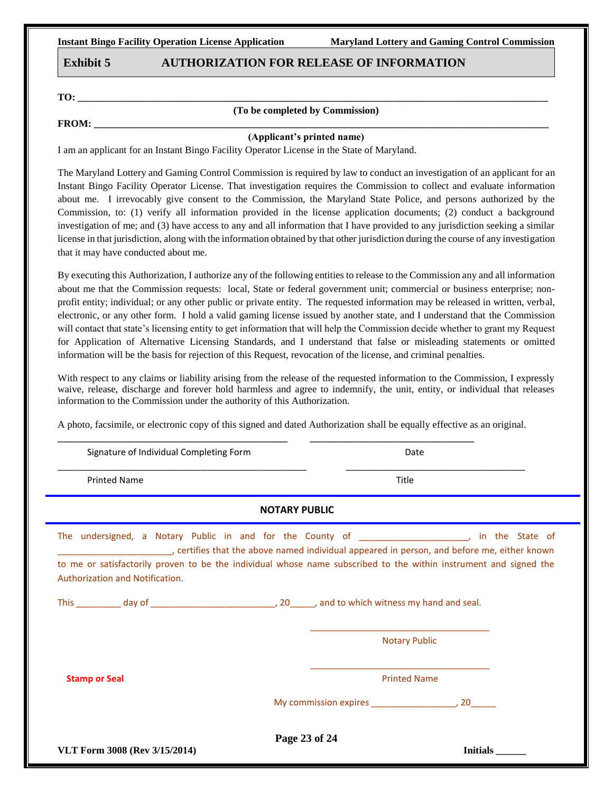**Instant Bingo Facility Operation License Application Maryland Lottery and Gaming Control Commission**

#### **Exhibit 5 AUTHORIZATION FOR RELEASE OF INFORMATION**

**TO: \_\_\_\_\_\_\_\_\_\_\_\_\_\_\_\_\_\_\_\_\_\_\_\_\_\_\_\_\_\_\_\_\_\_\_\_\_\_\_\_\_\_\_\_\_\_\_\_\_\_\_\_\_\_\_\_\_\_\_\_\_\_\_\_\_\_\_\_\_\_\_\_\_\_\_\_\_\_\_\_\_\_\_\_\_\_\_\_\_\_\_\_\_\_**

#### **(To be completed by Commission)**

**FROM:** 

#### **(Applicant's printed name)**

I am an applicant for an Instant Bingo Facility Operator License in the State of Maryland.

The Maryland Lottery and Gaming Control Commission is required by law to conduct an investigation of an applicant for an Instant Bingo Facility Operator License. That investigation requires the Commission to collect and evaluate information about me. I irrevocably give consent to the Commission, the Maryland State Police, and persons authorized by the Commission, to: (1) verify all information provided in the license application documents; (2) conduct a background investigation of me; and (3) have access to any and all information that I have provided to any jurisdiction seeking a similar license in that jurisdiction, along with the information obtained by that other jurisdiction during the course of any investigation that it may have conducted about me.

By executing this Authorization, I authorize any of the following entities to release to the Commission any and all information about me that the Commission requests: local, State or federal government unit; commercial or business enterprise; nonprofit entity; individual; or any other public or private entity. The requested information may be released in written, verbal, electronic, or any other form. I hold a valid gaming license issued by another state, and I understand that the Commission will contact that state's licensing entity to get information that will help the Commission decide whether to grant my Request for Application of Alternative Licensing Standards, and I understand that false or misleading statements or omitted information will be the basis for rejection of this Request, revocation of the license, and criminal penalties.

With respect to any claims or liability arising from the release of the requested information to the Commission, I expressly waive, release, discharge and forever hold harmless and agree to indemnify, the unit, entity, or individual that releases information to the Commission under the authority of this Authorization.

A photo, facsimile, or electronic copy of this signed and dated Authorization shall be equally effective as an original.

\_\_\_\_\_\_\_\_\_\_\_\_\_\_\_\_\_\_\_\_\_\_\_\_\_\_\_\_\_\_\_\_\_\_\_\_\_\_\_\_\_\_ \_\_\_\_\_\_\_\_\_\_\_\_\_\_\_\_\_\_\_\_\_\_\_\_\_\_\_\_\_\_

| Signature of Individual Completing Form                                                                                                                                                                                                                                                                                                                                     |                      | Date                 |                 |
|-----------------------------------------------------------------------------------------------------------------------------------------------------------------------------------------------------------------------------------------------------------------------------------------------------------------------------------------------------------------------------|----------------------|----------------------|-----------------|
| <b>Printed Name</b>                                                                                                                                                                                                                                                                                                                                                         |                      | Title                |                 |
|                                                                                                                                                                                                                                                                                                                                                                             | <b>NOTARY PUBLIC</b> |                      |                 |
| The undersigned, a Notary Public in and for the County of ______________________, in the State of<br>certifies that the above named individual appeared in person, and before me, either known (Electrician Compara<br>to me or satisfactorily proven to be the individual whose name subscribed to the within instrument and signed the<br>Authorization and Notification. |                      |                      |                 |
|                                                                                                                                                                                                                                                                                                                                                                             |                      |                      |                 |
|                                                                                                                                                                                                                                                                                                                                                                             |                      | <b>Notary Public</b> |                 |
| <b>Stamp or Seal</b>                                                                                                                                                                                                                                                                                                                                                        |                      | <b>Printed Name</b>  |                 |
|                                                                                                                                                                                                                                                                                                                                                                             |                      |                      |                 |
| VLT Form 3008 (Rev 3/15/2014)                                                                                                                                                                                                                                                                                                                                               |                      | Page 23 of 24        | <b>Initials</b> |